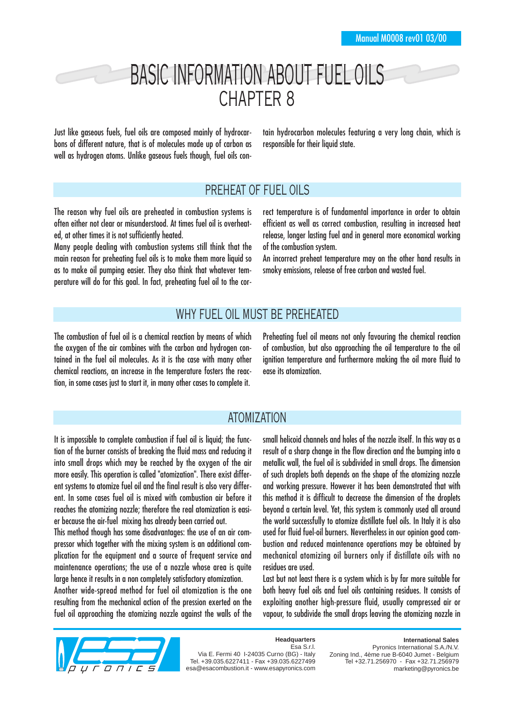# BASIC INFORMATION ABOUT FUEL OILS CHAPTER 8

Just like gaseous fuels, fuel oils are composed mainly of hydrocarbons of different nature, that is of molecules made up of carbon as well as hydrogen atoms. Unlike gaseous fuels though, fuel oils contain hydrocarbon molecules featuring a very long chain, which is responsible for their liquid state.

#### PREHEAT OF FUEL OILS

The reason why fuel oils are preheated in combustion systems is often either not clear or misunderstood. At times fuel oil is overheated, at other times it is not sufficiently heated.

Many people dealing with combustion systems still think that the main reason for preheating fuel oils is to make them more liquid so as to make oil pumping easier. They also think that whatever temperature will do for this goal. In fact, preheating fuel oil to the correct temperature is of fundamental importance in order to obtain efficient as well as correct combustion, resulting in increased heat release, longer lasting fuel and in general more economical working of the combustion system.

An incorrect preheat temperature may on the other hand results in smoky emissions, release of free carbon and wasted fuel.

## WHY FUEL OIL MUST BE PREHEATED

The combustion of fuel oil is a chemical reaction by means of which the oxygen of the air combines with the carbon and hydrogen contained in the fuel oil molecules. As it is the case with many other chemical reactions, an increase in the temperature fosters the reaction, in some cases just to start it, in many other cases to complete it.

Preheating fuel oil means not only favouring the chemical reaction of combustion, but also approaching the oil temperature to the oil ignition temperature and furthermore making the oil more fluid to ease its atomization.

#### ATOMIZATION

It is impossible to complete combustion if fuel oil is liquid; the function of the burner consists of breaking the fluid mass and reducing it into small drops which may be reached by the oxygen of the air more easily. This operation is called "atomization". There exist different systems to atomize fuel oil and the final result is also very different. In some cases fuel oil is mixed with combustion air before it reaches the atomizing nozzle; therefore the real atomization is easier because the air-fuel mixing has already been carried out.

This method though has some disadvantages: the use of an air compressor which together with the mixing system is an additional complication for the equipment and a source of frequent service and maintenance operations; the use of a nozzle whose area is quite large hence it results in a non completely satisfactory atomization.

Another wide-spread method for fuel oil atomization is the one resulting from the mechanical action of the pression exerted on the fuel oil approaching the atomizing nozzle against the walls of the small helicoid channels and holes of the nozzle itself. In this way as a result of a sharp change in the flow direction and the bumping into a metallic wall, the fuel oil is subdivided in small drops. The dimension of such droplets both depends on the shape of the atomizing nozzle and working pressure. However it has been demonstrated that with this method it is difficult to decrease the dimension of the droplets beyond a certain level. Yet, this system is commonly used all around the world successfully to atomize distillate fuel oils. In Italy it is also used for fluid fuel-oil burners. Nevertheless in our opinion good combustion and reduced maintenance operations may be obtained by mechanical atomizing oil burners only if distillate oils with no residues are used.

Last but not least there is a system which is by far more suitable for both heavy fuel oils and fuel oils containing residues. It consists of exploiting another high-pressure fluid, usually compressed air or vapour, to subdivide the small drops leaving the atomizing nozzle in



**Headquarters** Esa S.r.l.

Via E. Fermi 40 I-24035 Curno (BG) - Italy Tel. +39.035.6227411 - Fax +39.035.6227499 esa@esacombustion.it - www.esapyronics.com

**International Sales** Pyronics International S.A./N.V. Zoning Ind., 4ème rue B-6040 Jumet - Belgium Tel +32.71.256970 - Fax +32.71.256979 marketing@pyronics.be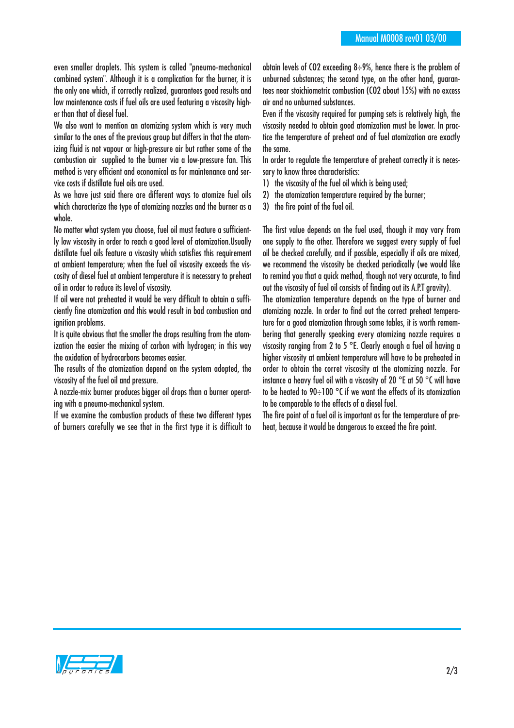even smaller droplets. This system is called "pneumo-mechanical combined system". Although it is a complication for the burner, it is the only one which, if correctly realized, guarantees good results and low maintenance costs if fuel oils are used featuring a viscosity higher than that of diesel fuel.

We also want to mention an atomizing system which is very much similar to the ones of the previous group but differs in that the atomizing fluid is not vapour or high-pressure air but rather some of the combustion air supplied to the burner via a low-pressure fan. This method is very efficient and economical as for maintenance and service costs if distillate fuel oils are used.

As we have just said there are different ways to atomize fuel oils which characterize the type of atomizing nozzles and the burner as a whole.

No matter what system you choose, fuel oil must feature a sufficiently low viscosity in order to reach a good level of atomization.Usually distillate fuel oils feature a viscosity which satisfies this requirement at ambient temperature; when the fuel oil viscosity exceeds the viscosity of diesel fuel at ambient temperature it is necessary to preheat oil in order to reduce its level of viscosity.

If oil were not preheated it would be very difficult to obtain a sufficiently fine atomization and this would result in bad combustion and ignition problems.

It is quite obvious that the smaller the drops resulting from the atomization the easier the mixing of carbon with hydrogen; in this way the oxidation of hydrocarbons becomes easier.

The results of the atomization depend on the system adopted, the viscosity of the fuel oil and pressure.

A nozzle-mix burner produces bigger oil drops than a burner operating with a pneumo-mechanical system.

If we examine the combustion products of these two different types of burners carefully we see that in the first type it is difficult to obtain levels of CO2 exceeding  $8\div 9\%$ , hence there is the problem of unburned substances; the second type, on the other hand, guarantees near stoichiometric combustion (CO2 about 15%) with no excess air and no unburned substances.

Even if the viscosity required for pumping sets is relatively high, the viscosity needed to obtain good atomization must be lower. In practice the temperature of preheat and of fuel atomization are exactly the same.

In order to regulate the temperature of preheat correctly it is necessary to know three characteristics:

- 1) the viscosity of the fuel oil which is being used;
- 2) the atomization temperature required by the burner;
- 3) the fire point of the fuel oil.

The first value depends on the fuel used, though it may vary from one supply to the other. Therefore we suggest every supply of fuel oil be checked carefully, and if possible, especially if oils are mixed, we recommend the viscosity be checked periodically (we would like to remind you that a quick method, though not very accurate, to find out the viscosity of fuel oil consists of finding out its A.P.T gravity).

The atomization temperature depends on the type of burner and atomizing nozzle. In order to find out the correct preheat temperature for a good atomization through some tables, it is worth remembering that generally speaking every atomizing nozzle requires a viscosity ranging from 2 to 5 °E. Clearly enough a fuel oil having a higher viscosity at ambient temperature will have to be preheated in order to obtain the corret viscosity at the atomizing nozzle. For instance a heavy fuel oil with a viscosity of 20 °E at 50 °C will have to be heated to 90÷100 °C if we want the effects of its atomization to be comparable to the effects of a diesel fuel.

The fire point of a fuel oil is important as for the temperature of preheat, because it would be dangerous to exceed the fire point.